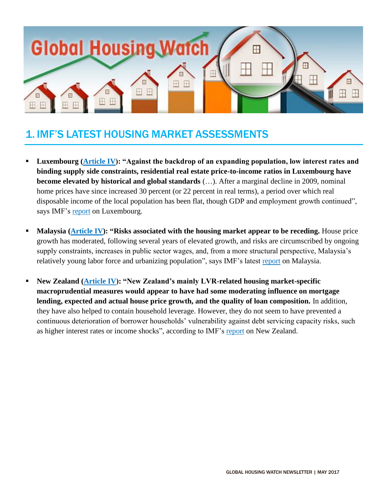

## 1. IMF'S LATEST HOUSING MARKET ASSESSMENTS

- **Luxembourg [\(Article IV\)](http://unassumingeconomist.com/2017/05/housing-market-in-luxembourg/): "Against the backdrop of an expanding population, low interest rates and binding supply side constraints, residential real estate price-to-income ratios in Luxembourg have become elevated by historical and global standards** (…). After a marginal decline in 2009, nominal home prices have since increased 30 percent (or 22 percent in real terms), a period over which real disposable income of the local population has been flat, though GDP and employment growth continued", says IMF's [report](http://www.imf.org/~/media/Files/Publications/CR/2017/cr17113.ashx) on Luxembourg.
- **Malaysia [\(Article IV\)](http://unassumingeconomist.com/2017/05/house-prices-in-malaysia-5/): "Risks associated with the housing market appear to be receding.** House price growth has moderated, following several years of elevated growth, and risks are circumscribed by ongoing supply constraints, increases in public sector wages, and, from a more structural perspective, Malaysia's relatively young labor force and urbanizing population", says IMF's latest [report](http://www.imf.org/~/media/Files/Publications/CR/2017/cr17101.ashx) on Malaysia.
- **New Zealand [\(Article IV\)](http://unassumingeconomist.com/2017/05/macroprudential-policy-in-new-zealand/): "New Zealand's mainly LVR-related housing market-specific macroprudential measures would appear to have had some moderating influence on mortgage lending, expected and actual house price growth, and the quality of loan composition.** In addition, they have also helped to contain household leverage. However, they do not seem to have prevented a continuous deterioration of borrower households' vulnerability against debt servicing capacity risks, such as higher interest rates or income shocks", according to IMF's [report](http://www.imf.org/~/media/Files/Publications/CR/2017/cr17111.ashx) on New Zealand.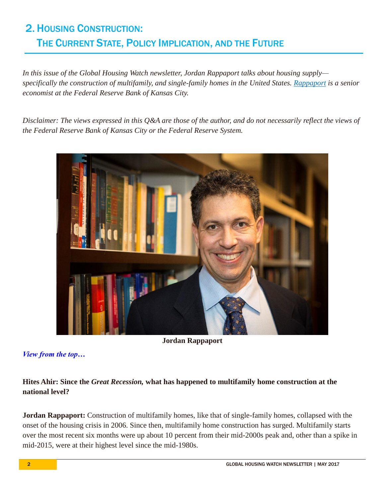# 2. HOUSING CONSTRUCTION: THE CURRENT STATE, POLICY IMPLICATION, AND THE FUTURE

*In this issue of the Global Housing Watch newsletter, Jordan Rappaport talks about housing supply specifically the construction of multifamily, and single-family homes in the United States. [Rappaport](https://www.kansascityfed.org/people/jordanrappaport) is a senior economist at the Federal Reserve Bank of Kansas City.*

*Disclaimer: The views expressed in this Q&A are those of the author, and do not necessarily reflect the views of the Federal Reserve Bank of Kansas City or the Federal Reserve System.*



**Jordan Rappaport**

*View from the top…*

### **Hites Ahir: Since the** *Great Recession,* **what has happened to multifamily home construction at the national level?**

**Jordan Rappaport:** Construction of multifamily homes, like that of single-family homes, collapsed with the onset of the housing crisis in 2006. Since then, multifamily home construction has surged. Multifamily starts over the most recent six months were up about 10 percent from their mid-2000s peak and, other than a spike in mid-2015, were at their highest level since the mid-1980s.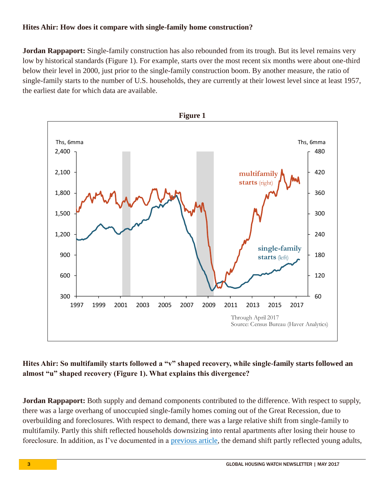#### **Hites Ahir: How does it compare with single-family home construction?**

**Jordan Rappaport:** Single-family construction has also rebounded from its trough. But its level remains very low by historical standards (Figure 1). For example, starts over the most recent six months were about one-third below their level in 2000, just prior to the single-family construction boom. By another measure, the ratio of single-family starts to the number of U.S. households, they are currently at their lowest level since at least 1957, the earliest date for which data are available.



## **Hites Ahir: So multifamily starts followed a "v" shaped recovery, while single-family starts followed an almost "u" shaped recovery (Figure 1). What explains this divergence?**

**Jordan Rappaport:** Both supply and demand components contributed to the difference. With respect to supply, there was a large overhang of unoccupied single-family homes coming out of the Great Recession, due to overbuilding and foreclosures. With respect to demand, there was a large relative shift from single-family to multifamily. Partly this shift reflected households downsizing into rental apartments after losing their house to foreclosure. In addition, as I've documented in a [previous article,](https://www.kansascityfed.org/~/media/files/publicat/econrev/econrevarchive/2015/2q15rappaport.pdf) the demand shift partly reflected young adults,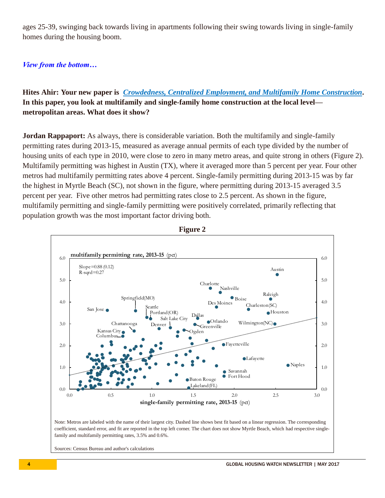ages 25-39, swinging back towards living in apartments following their swing towards living in single-family homes during the housing boom.

#### *View from the bottom…*

**Hites Ahir: Your new paper is** *[Crowdedness, Centralized Employment, and Multifamily Home Construction](https://www.kansascityfed.org/~/media/files/publicat/econrev/econrevarchive/2017/1q17rappaport.pdf)***. In this paper, you look at multifamily and single-family home construction at the local level metropolitan areas. What does it show?**

**Jordan Rappaport:** As always, there is considerable variation. Both the multifamily and single-family permitting rates during 2013-15, measured as average annual permits of each type divided by the number of housing units of each type in 2010, were close to zero in many metro areas, and quite strong in others (Figure 2). Multifamily permitting was highest in Austin (TX), where it averaged more than 5 percent per year. Four other metros had multifamily permitting rates above 4 percent. Single-family permitting during 2013-15 was by far the highest in Myrtle Beach (SC), not shown in the figure, where permitting during 2013-15 averaged 3.5 percent per year. Five other metros had permitting rates close to 2.5 percent. As shown in the figure, multifamily permitting and single-family permitting were positively correlated, primarily reflecting that population growth was the most important factor driving both.





coefficient, standard error, and fit are reported in the top left corner. The chart does not show Myrtle Beach, which had respective singlefamily and multifamily permitting rates, 3.5% and 0.6%.

Sources: Census Bureau and author's calculations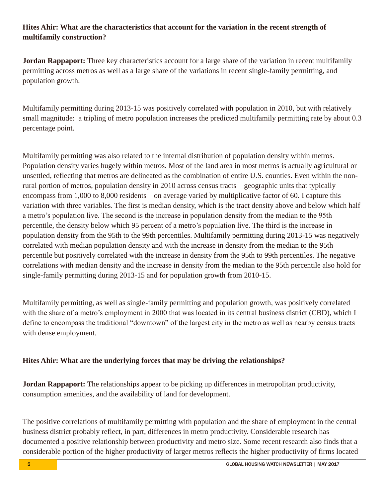### **Hites Ahir: What are the characteristics that account for the variation in the recent strength of multifamily construction?**

**Jordan Rappaport:** Three key characteristics account for a large share of the variation in recent multifamily permitting across metros as well as a large share of the variations in recent single-family permitting, and population growth.

Multifamily permitting during 2013-15 was positively correlated with population in 2010, but with relatively small magnitude: a tripling of metro population increases the predicted multifamily permitting rate by about 0.3 percentage point.

Multifamily permitting was also related to the internal distribution of population density within metros. Population density varies hugely within metros. Most of the land area in most metros is actually agricultural or unsettled, reflecting that metros are delineated as the combination of entire U.S. counties. Even within the nonrural portion of metros, population density in 2010 across census tracts—geographic units that typically encompass from 1,000 to 8,000 residents—on average varied by multiplicative factor of 60. I capture this variation with three variables. The first is median density, which is the tract density above and below which half a metro's population live. The second is the increase in population density from the median to the 95th percentile, the density below which 95 percent of a metro's population live. The third is the increase in population density from the 95th to the 99th percentiles. Multifamily permitting during 2013-15 was negatively correlated with median population density and with the increase in density from the median to the 95th percentile but positively correlated with the increase in density from the 95th to 99th percentiles. The negative correlations with median density and the increase in density from the median to the 95th percentile also hold for single-family permitting during 2013-15 and for population growth from 2010-15.

Multifamily permitting, as well as single-family permitting and population growth, was positively correlated with the share of a metro's employment in 2000 that was located in its central business district (CBD), which I define to encompass the traditional "downtown" of the largest city in the metro as well as nearby census tracts with dense employment.

#### **Hites Ahir: What are the underlying forces that may be driving the relationships?**

**Jordan Rappaport:** The relationships appear to be picking up differences in metropolitan productivity, consumption amenities, and the availability of land for development.

The positive correlations of multifamily permitting with population and the share of employment in the central business district probably reflect, in part, differences in metro productivity. Considerable research has documented a positive relationship between productivity and metro size. Some recent research also finds that a considerable portion of the higher productivity of larger metros reflects the higher productivity of firms located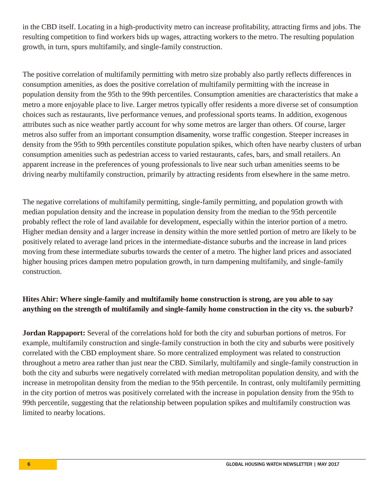in the CBD itself. Locating in a high-productivity metro can increase profitability, attracting firms and jobs. The resulting competition to find workers bids up wages, attracting workers to the metro. The resulting population growth, in turn, spurs multifamily, and single-family construction.

The positive correlation of multifamily permitting with metro size probably also partly reflects differences in consumption amenities, as does the positive correlation of multifamily permitting with the increase in population density from the 95th to the 99th percentiles. Consumption amenities are characteristics that make a metro a more enjoyable place to live. Larger metros typically offer residents a more diverse set of consumption choices such as restaurants, live performance venues, and professional sports teams. In addition, exogenous attributes such as nice weather partly account for why some metros are larger than others. Of course, larger metros also suffer from an important consumption disamenity, worse traffic congestion. Steeper increases in density from the 95th to 99th percentiles constitute population spikes, which often have nearby clusters of urban consumption amenities such as pedestrian access to varied restaurants, cafes, bars, and small retailers. An apparent increase in the preferences of young professionals to live near such urban amenities seems to be driving nearby multifamily construction, primarily by attracting residents from elsewhere in the same metro.

The negative correlations of multifamily permitting, single-family permitting, and population growth with median population density and the increase in population density from the median to the 95th percentile probably reflect the role of land available for development, especially within the interior portion of a metro. Higher median density and a larger increase in density within the more settled portion of metro are likely to be positively related to average land prices in the intermediate-distance suburbs and the increase in land prices moving from these intermediate suburbs towards the center of a metro. The higher land prices and associated higher housing prices dampen metro population growth, in turn dampening multifamily, and single-family construction.

## **Hites Ahir: Where single-family and multifamily home construction is strong, are you able to say anything on the strength of multifamily and single-family home construction in the city vs. the suburb?**

**Jordan Rappaport:** Several of the correlations hold for both the city and suburban portions of metros. For example, multifamily construction and single-family construction in both the city and suburbs were positively correlated with the CBD employment share. So more centralized employment was related to construction throughout a metro area rather than just near the CBD. Similarly, multifamily and single-family construction in both the city and suburbs were negatively correlated with median metropolitan population density, and with the increase in metropolitan density from the median to the 95th percentile. In contrast, only multifamily permitting in the city portion of metros was positively correlated with the increase in population density from the 95th to 99th percentile, suggesting that the relationship between population spikes and multifamily construction was limited to nearby locations.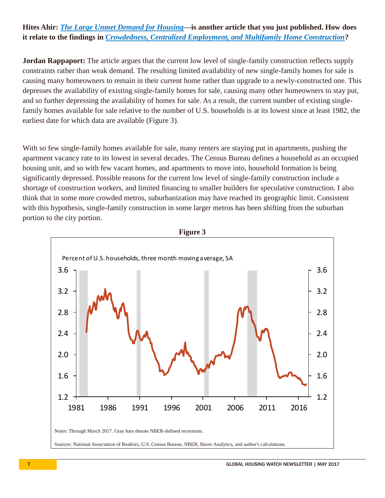### **Hites Ahir:** *[The Large Unmet Demand for Housing](https://www.kansascityfed.org/~/media/files/publicat/research/macrobulletins/mb17rappaport0412.pdf)***—is another article that you just published. How does it relate to the findings in** *[Crowdedness, Centralized Employment, and Multifamily Home Construction](https://www.kansascityfed.org/~/media/files/publicat/research/macrobulletins/mb17rappaport0412.pdf)***?**

**Jordan Rappaport:** The article argues that the current low level of single-family construction reflects supply constraints rather than weak demand. The resulting limited availability of new single-family homes for sale is causing many homeowners to remain in their current home rather than upgrade to a newly-constructed one. This depresses the availability of existing single-family homes for sale, causing many other homeowners to stay put, and so further depressing the availability of homes for sale. As a result, the current number of existing singlefamily homes available for sale relative to the number of U.S. households is at its lowest since at least 1982, the earliest date for which data are available (Figure 3).

With so few single-family homes available for sale, many renters are staying put in apartments, pushing the apartment vacancy rate to its lowest in several decades. The Census Bureau defines a household as an occupied housing unit, and so with few vacant homes, and apartments to move into, household formation is being significantly depressed. Possible reasons for the current low level of single-family construction include a shortage of construction workers, and limited financing to smaller builders for speculative construction. I also think that in some more crowded metros, suburbanization may have reached its geographic limit. Consistent with this hypothesis, single-family construction in some larger metros has been shifting from the suburban portion to the city portion.



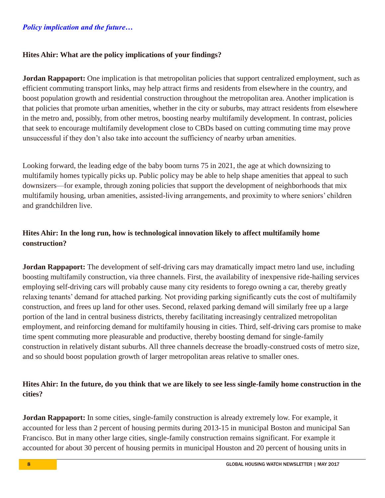#### *Policy implication and the future…*

#### **Hites Ahir: What are the policy implications of your findings?**

**Jordan Rappaport:** One implication is that metropolitan policies that support centralized employment, such as efficient commuting transport links, may help attract firms and residents from elsewhere in the country, and boost population growth and residential construction throughout the metropolitan area. Another implication is that policies that promote urban amenities, whether in the city or suburbs, may attract residents from elsewhere in the metro and, possibly, from other metros, boosting nearby multifamily development. In contrast, policies that seek to encourage multifamily development close to CBDs based on cutting commuting time may prove unsuccessful if they don't also take into account the sufficiency of nearby urban amenities.

Looking forward, the leading edge of the baby boom turns 75 in 2021, the age at which downsizing to multifamily homes typically picks up. Public policy may be able to help shape amenities that appeal to such downsizers—for example, through zoning policies that support the development of neighborhoods that mix multifamily housing, urban amenities, assisted-living arrangements, and proximity to where seniors' children and grandchildren live.

### **Hites Ahir: In the long run, how is technological innovation likely to affect multifamily home construction?**

**Jordan Rappaport:** The development of self-driving cars may dramatically impact metro land use, including boosting multifamily construction, via three channels. First, the availability of inexpensive ride-hailing services employing self-driving cars will probably cause many city residents to forego owning a car, thereby greatly relaxing tenants' demand for attached parking. Not providing parking significantly cuts the cost of multifamily construction, and frees up land for other uses. Second, relaxed parking demand will similarly free up a large portion of the land in central business districts, thereby facilitating increasingly centralized metropolitan employment, and reinforcing demand for multifamily housing in cities. Third, self-driving cars promise to make time spent commuting more pleasurable and productive, thereby boosting demand for single-family construction in relatively distant suburbs. All three channels decrease the broadly-construed costs of metro size, and so should boost population growth of larger metropolitan areas relative to smaller ones.

#### **Hites Ahir: In the future, do you think that we are likely to see less single-family home construction in the cities?**

**Jordan Rappaport:** In some cities, single-family construction is already extremely low. For example, it accounted for less than 2 percent of housing permits during 2013-15 in municipal Boston and municipal San Francisco. But in many other large cities, single-family construction remains significant. For example it accounted for about 30 percent of housing permits in municipal Houston and 20 percent of housing units in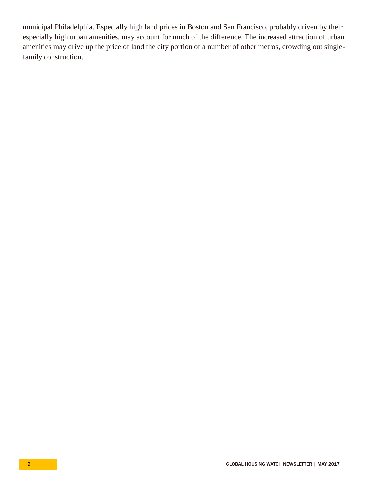municipal Philadelphia. Especially high land prices in Boston and San Francisco, probably driven by their especially high urban amenities, may account for much of the difference. The increased attraction of urban amenities may drive up the price of land the city portion of a number of other metros, crowding out singlefamily construction.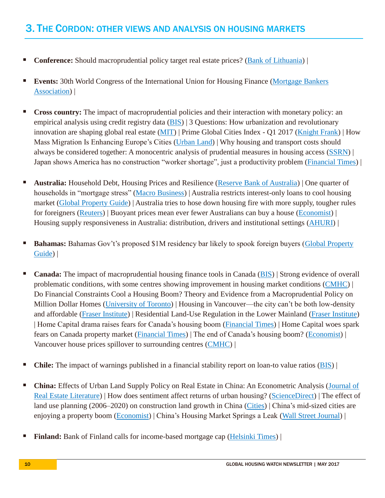## 3. THE CORDON: OTHER VIEWS AND ANALYSIS ON HOUSING MARKETS

- **Conference:** Should macroprudential policy target real estate prices? [\(Bank of Lithuania\)](https://www.lb.lt/en/events/macroprudential-policy-conference-2017) |
- **Events:** 30th World Congress of the International Union for Housing Finance (Mortgage Bankers [Association\)](https://www.mba.org/mba-newslinks/2017/april/mba-newslink-monday-4-17-17/mba-news/international-union-for-housing-finance-world-congress-comes-to-washington-in-june?_zs=XlrwB1&_zl=uhkj3) |
- **Cross country:** The impact of macroprudential policies and their interaction with monetary policy: an empirical analysis using credit registry data [\(BIS\)](http://www.bis.org/publ/work636.pdf) | 3 Questions: How urbanization and revolutionary innovation are shaping global real estate [\(MIT\)](http://news.mit.edu/2017/mit-albert-saiz-how-urbanization-and-innovation-are-shaping-global-real-estate-0503) | Prime Global Cities Index - Q1 2017 [\(Knight Frank\)](https://kfcontent.blob.core.windows.net/research/323/documents/en/q1-2017-4641.pdf) | How Mass Migration Is Enhancing Europe's Cities [\(Urban Land\)](https://europe.uli.org/mass-migration-real-estate-european-cities/) | Why housing and transport costs should always be considered together: A monocentric analysis of prudential measures in housing access [\(SSRN\)](http://ac.els-cdn.com/S0967070X17302871/1-s2.0-S0967070X17302871-main.pdf?_tid=7ba6dbb0-3a4c-11e7-b95d-00000aacb35d&acdnat=1494948762_3566b1ed4ec0864833756ea5c2820bb1) | Japan shows America has no construction "worker shortage", just a productivity problem [\(Financial Times\)](https://ftalphaville.ft.com/2017/05/19/2189040/japan-shows-america-has-no-construction-worker-shortage-just-a-productivity-problem/) |
- **Australia:** Household Debt, Housing Prices and Resilience [\(Reserve Bank of Australia\)](https://www.rba.gov.au/speeches/2017/sp-gov-2017-05-04.html) | One quarter of households in "mortgage stress" [\(Macro Business\)](https://www.macrobusiness.com.au/2017/05/one-quarter-households-mortgage-stress/) | Australia restricts interest-only loans to cool housing market [\(Global Property Guide\)](http://www.globalpropertyguide.com/news-Australia-restricts-interest-only-loans-to-cool-housing-market-3108) | Australia tries to hose down housing fire with more supply, tougher rules for foreigners [\(Reuters\)](http://www.reuters.com/article/us-australia-budget-property-idUSKBN185104?il=0) | Buoyant prices mean ever fewer Australians can buy a house [\(Economist\)](http://www.economist.com/news/asia/21721961-weeks-budget-offers-little-comfort-smashed-avocado-generation-buoyant-prices-mean-ever) | Housing supply responsiveness in Australia: distribution, drivers and institutional settings [\(AHURI\)](http://www.ahuri.edu.au/research/final-reports/281) |
- **Bahamas:** Bahamas Gov't's proposed \$1M residency bar likely to spook foreign buyers [\(Global Property](http://www.globalpropertyguide.com/Caribbean/Bahamas/Price-History) [Guide\)](http://www.globalpropertyguide.com/Caribbean/Bahamas/Price-History) |
- **Canada:** The impact of macroprudential housing finance tools in Canada [\(BIS\)](http://www.bis.org/publ/work632.htm) | Strong evidence of overall problematic conditions, with some centres showing improvement in housing market conditions [\(CMHC\)](https://www.cmhc-schl.gc.ca/en/hoficlincl/observer/observer_132.cfm?obssource=observer-en&obsmedium=email&obscampaign=obs-20170426-hma) | Do Financial Constraints Cool a Housing Boom? Theory and Evidence from a Macroprudential Policy on Million Dollar Homes [\(University of Toronto\)](https://chandlerlutz.github.io/pdf/macroprudential-financial-housing-constraints.pdf) | Housing in Vancouver—the city can't be both low-density and affordable [\(Fraser Institute\)](https://www.fraserinstitute.org/article/housing-in-vancouver-the-city-cant-be-both-low-density-and-affordable) | Residential Land-Use Regulation in the Lower Mainland [\(Fraser Institute\)](https://www.fraserinstitute.org/studies/new-homes-and-red-tape-in-british-columbia-residential-land-use-regulation-in-the-lower-mainland) | Home Capital drama raises fears for Canada's housing boom [\(Financial Times\)](https://www.ft.com/content/0ca22b00-2e73-11e7-9555-23ef563ecf9a) | Home Capital woes spark fears on Canada property market [\(Financial Times\)](https://www.ft.com/content/59f8e496-3b45-11e7-ac89-b01cc67cfeec) | The end of Canada's housing boom? [\(Economist\)](http://www.economist.com/news/americas/21722249-american-protectionism-not-only-threat-economy-end-canadas-housing-boom) | Vancouver house prices spillover to surrounding centres [\(CMHC\)](https://www.cmhc-schl.gc.ca/en/hoficlincl/observer/observer_137.cfm?obssource=observer-en&obsmedium=email&obscampaign=obs-20170511-hmi-vancouver) |
- **Chile:** The impact of warnings published in a financial stability report on loan-to value ratios [\(BIS\)](http://www.bis.org/publ/work633.htm) |
- **China:** Effects of Urban Land Supply Policy on Real Estate in China: An Econometric Analysis [\(Journal of](http://www.jstor.org/stable/pdf/44103629.pdf?seq=1#page_scan_tab_contents)  [Real Estate Literature\)](http://www.jstor.org/stable/pdf/44103629.pdf?seq=1#page_scan_tab_contents) | How does sentiment affect returns of urban housing? [\(ScienceDirect\)](http://www.sciencedirect.com/science/article/pii/S0197397517301224) | The effect of land use planning (2006–2020) on construction land growth in China [\(Cities\)](http://www.sciencedirect.com/science/article/pii/S0264275116306539) | China's mid-sized cities are enjoying a property boom [\(Economist\)](http://www.economist.com/news/china/21722201-it-speculative-not-crazy-chinas-mid-sized-cities-are-enjoying-property-boom) | China's Housing Market Springs a Leak [\(Wall Street Journal\)](https://www.wsj.com/articles/chinas-housing-market-springs-a-leak-1495088692) |
- **Finland:** Bank of Finland calls for income-based mortgage cap [\(Helsinki Times\)](http://www.helsinkitimes.fi/finland/finland-news/domestic/14751-bank-of-finland-calls-for-income-based-mortgage-cap.html) |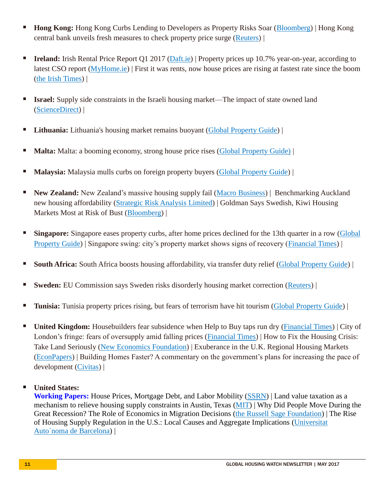- **Hong Kong:** Hong Kong Curbs Lending to Developers as Property Risks Soar [\(Bloomberg\)](https://www.bloomberg.com/news/articles/2017-05-12/hong-kong-tightens-loans-to-developers-to-contain-mortgage-risks) | Hong Kong central bank unveils fresh measures to check property price surge [\(Reuters\)](http://www.reuters.com/article/us-hongkong-hkma-idUSKCN18F0X9?il=0) |
- **Ireland:** Irish Rental Price Report Q1 2017 [\(Daft.ie\)](https://www.daft.ie/report) | Property prices up 10.7% year-on-year, according to latest CSO report [\(MyHome.ie\)](http://blog.myhome.ie/2017/04/19/property-prices-10-7-year-year-according-latest-cso-report/?utm_source=April+2017+newsletter&utm_campaign=NewsletterApril2017&utm_medium=email) | First it was rents, now house prices are rising at fastest rate since the boom [\(the Irish](http://www.irishtimes.com/business/economy/first-it-was-rents-now-house-prices-are-rising-at-fastest-rate-since-the-boom-1.3083646) Times) |
- **Israel:** Supply side constraints in the Israeli housing market—The impact of state owned land [\(ScienceDirect\)](http://www.sciencedirect.com/science/article/pii/S0264837716305749) |
- **Lithuania:** Lithuania's housing market remains buoyant [\(Global Property Guide\)](http://www.globalpropertyguide.com/Europe/Lithuania/Price-History)
- **Malta:** Malta: a booming economy, strong house price rises [\(Global Property Guide\)](http://www.globalpropertyguide.com/Europe/Malta/Price-History) |
- **Malaysia:** Malaysia mulls curbs on foreign property buyers [\(Global Property Guide\)](http://www.globalpropertyguide.com/news-Malaysia-mulls-curbs-on-foreign-property-buyers-3099) |
- **New Zealand:** New Zealand's massive housing supply fail [\(Macro Business\)](https://www.macrobusiness.com.au/2017/05/new-zealands-massive-housing-supply-fail/) | Benchmarking Auckland new housing affordability [\(Strategic Risk Analysis Limited\)](http://www.sra.co.nz/pdf/AucklandNewHouseCostsMay17.pdf) | Goldman Says Swedish, Kiwi Housing Markets Most at Risk of Bust [\(Bloomberg\)](https://www.bloomberg.com/news/articles/2017-05-15/new-zealand-housing-market-most-at-risk-of-bust-goldman-says) |
- **Singapore:** Singapore eases property curbs, after home prices declined for the 13th quarter in a row [\(Global](http://www.globalpropertyguide.com/news-Singapore-eases-property-curbs-after-home-prices-declined-for-the-13th-quarter-in-a-row-3096) [Property Guide\)](http://www.globalpropertyguide.com/news-Singapore-eases-property-curbs-after-home-prices-declined-for-the-13th-quarter-in-a-row-3096) | Singapore swing: city's property market shows signs of recovery [\(Financial Times\)](https://www.ft.com/content/7003178e-2a97-11e7-bc4b-5528796fe35c) |
- **South Africa:** South Africa boosts housing affordability, via transfer duty relief [\(Global Property Guide\)](http://www.globalpropertyguide.com/news-South-Africa-boosts-housing-affordability-via-transfer-duty-relief-3091) |
- **Sweden:** EU Commission says Sweden risks disorderly housing market correction [\(Reuters\)](http://in.reuters.com/article/eu-budget-sweden-idINL8N1IO1SY) |
- **Tunisia:** Tunisia property prices rising, but fears of terrorism have hit tourism [\(Global Property Guide\)](http://www.globalpropertyguide.com/Middle-East/Tunisia/Price-History)
- **United Kingdom:** Housebuilders fear subsidence when Help to Buy taps run dry [\(Financial Times\)](https://www.ft.com/content/86640f38-3023-11e7-9555-23ef563ecf9a) | City of London's fringe: fears of oversupply amid falling prices [\(Financial Times\)](https://www.ft.com/content/fe0a1562-2aa3-11e7-bc4b-5528796fe35c) | How to Fix the Housing Crisis: Take Land Seriously [\(New Economics Foundation\)](http://neweconomics.org/2017/05/how-to-fix-the-housing-crisis/) | Exuberance in the U.K. Regional Housing Markets [\(EconPapers\)](http://econpapers.repec.org/paper/lanwpaper/168117137.htm) | Building Homes Faster? A commentary on the government's plans for increasing the pace of development [\(Civitas\)](http://www.civitas.org.uk/publications/building-homes-faster/) |

#### **United States:**

**Working Papers:** House Prices, Mortgage Debt, and Labor Mobility [\(SSRN\)](https://papers.ssrn.com/sol3/papers.cfm?abstract_id=2963114) | Land value taxation as a mechanism to relieve housing supply constraints in Austin, Texas [\(MIT\)](https://dspace.mit.edu/handle/1721.1/108896) | Why Did People Move During the Great Recession? The Role of Economics in Migration Decisions [\(the Russell Sage Foundation\)](http://www.rsfjournal.org/doi/full/10.7758/RSF.2017.3.3.05) | The Rise of Housing Supply Regulation in the U.S.: Local Causes and Aggregate Implications [\(Universitat](http://www.andrii-parkhomenko.net/files/Parkhomenko_JMP.pdf)  [Auto`noma de Barcelona\)](http://www.andrii-parkhomenko.net/files/Parkhomenko_JMP.pdf) |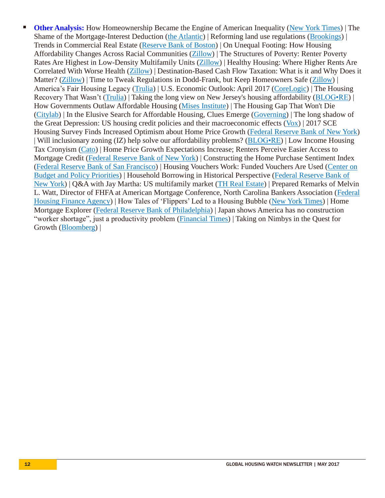**Other Analysis:** How Homeownership Became the Engine of American Inequality [\(New York Times\)](https://www.nytimes.com/2017/05/09/magazine/how-homeownership-became-the-engine-of-american-inequality.html?action=click&pgtype=Homepage®ion=CColumn&module=MostViewed&version=Full&src=mv&WT.nav=MostViewed&_r=1) | The Shame of the Mortgage-Interest Deduction [\(the Atlantic\)](https://www.theatlantic.com/business/archive/2017/05/shame-mortgage-interest-deduction/526635/) | Reforming land use regulations [\(Brookings\)](https://www.brookings.edu/research/reforming-land-use-regulations/) | Trends in Commercial Real Estate [\(Reserve Bank of Boston\)](https://www.bostonfed.org/news-and-events/speeches/2017/trends-in-commercial-real-estate?utm_source=speech-ealert050917&utm_medium=speech-ealert&utm_campaign=ers) | On Unequal Footing: How Housing Affordability Changes Across Racial Communities [\(Zillow\)](https://www.zillow.com/research/housing-affordability-by-race-14670/?utm_source=email&utm_campaign=emm_0417_grdigest_unequalfootingcta&utm_medium=email) | The Structures of Poverty: Renter Poverty Rates Are Highest in Low-Density Multifamily Units [\(Zillow\)](https://www.zillow.com/research/renter-poverty-multifamily-units-14664/?utm_source=email&utm_campaign=emm_0417_grdigest_structuresofpovertycta&utm_medium=email) | Healthy Housing: Where Higher Rents Are Correlated With Worse Health [\(Zillow\)](https://www.zillow.com/research/healthy-housing-high-rents-14543/?utm_source=email&utm_campaign=emm_0417_grdigest_healthyhousingcta&utm_medium=email) | Destination-Based Cash Flow Taxation: What is it and Why Does it Matter? [\(Zillow\)](https://www.zillow.com/research/tweak-dodd-frank-regulations-14620/?utm_source=email&utm_campaign=emm_0417_grdigest_doddfrankcta&utm_medium=email) | Time to Tweak Regulations in Dodd-Frank, but Keep Homeowners Safe (Zillow) | America's Fair Housing Legacy [\(Trulia\)](https://www.trulia.com/blog/trends/fair-housing-legacy/?utm_source=email&utm_campaign=emm_0417_grdigest_fairhousingcta&utm_medium=email) | U.S. Economic Outlook: April 2017 [\(CoreLogic\)](http://www.corelogic.com/blog/authors/frank-nothaft/2017/04/us-economic-outlook-april-2017.aspx#.WQdzM_nythE) | The Housing Recovery That Wasn't [\(Trulia\)](https://www.trulia.com/blog/trends/home-value-recovery-2017/) | Taking the long view on New Jersey's housing affordability [\(BLOG•RE\)](http://www.rutgersrealestate.com/blog-re/digging-deeper-on-rent-controls/) | How Governments Outlaw Affordable Housing [\(Mises Institute\)](https://mises.org/blog/how-governments-outlaw-affordable-housing) | The Housing Gap That Won't Die [\(Citylab\)](https://www.citylab.com/design/2017/05/the-housing-gap-that-wont-die/525225/) | In the Elusive Search for Affordable Housing, Clues Emerge [\(Governing\)](http://www.governing.com/topics/urban/gov-affordable-housing-leimert-park-los-angeles.html) | The long shadow of the Great Depression: US housing credit policies and their macroeconomic effects [\(Vox\)](http://voxeu.org/article/us-housing-credit-policies-and-their-macroeconomic-effects) | 2017 SCE Housing Survey Finds Increased Optimism about Home Price Growth [\(Federal Reserve Bank of New York\)](http://libertystreeteconomics.newyorkfed.org/2017/05/just-released-2017-sce-housing-survey-finds-increased-optimism-about-home-price-growth.html) | Will inclusionary zoning (IZ) help solve our affordability problems? [\(BLOG•RE\)](http://www.rutgersrealestate.com/blog-re/a-higher-level-look-at-iz/) | Low Income Housing Tax Cronyism [\(Cato\)](https://www.cato.org/blog/low-income-housing-tax-cronyism) | Home Price Growth Expectations Increase; Renters Perceive Easier Access to Mortgage Credit [\(Federal Reserve Bank of New York\)](https://www.newyorkfed.org/newsevents/news/research/2017/an170511) | Constructing the Home Purchase Sentiment Index [\(Federal Reserve Bank of San Francisco\)](http://www.frbsf.org/economic-research/publications/economic-letter/2017/may/constructing-home-purchase-sentiment-index/?utm_source=mailchimp&utm_medium=email&utm_campaign=economic-letter-2017-05-15) | Housing Vouchers Work: Funded Vouchers Are Used [\(Center on](http://www.cbpp.org/blog/housing-vouchers-work-funded-vouchers-are-used)  [Budget and Policy Priorities\)](http://www.cbpp.org/blog/housing-vouchers-work-funded-vouchers-are-used) | Household Borrowing in Historical Perspective [\(Federal Reserve Bank of](http://libertystreeteconomics.newyorkfed.org/2017/05/household-borrowing-in-historical-perspective.html)  [New York\)](http://libertystreeteconomics.newyorkfed.org/2017/05/household-borrowing-in-historical-perspective.html) | Q&A with Jay Martha: US multifamily market [\(TH Real Estate\)](https://www.threalestate.com/news-and-views/articles/17-05-17-qa-jay-martha---us-multifamily-market) | Prepared Remarks of Melvin L. Watt, Director of FHFA at American Mortgage Conference, North Carolina Bankers Association [\(Federal](https://www.fhfa.gov/Media/PublicAffairs/Pages/Prepared-Remarks-of-Melvin-L-Watt-Director-of-FHFA-at-American-Mortgage-Conference-North-Carolina-Bankers-Association.aspx)  [Housing Finance Agency\)](https://www.fhfa.gov/Media/PublicAffairs/Pages/Prepared-Remarks-of-Melvin-L-Watt-Director-of-FHFA-at-American-Mortgage-Conference-North-Carolina-Bankers-Association.aspx) | How Tales of 'Flippers' Led to a Housing Bubble [\(New York Times\)](https://www.nytimes.com/2017/05/18/upshot/how-tales-of-flippers-led-to-a-housing-bubble.html?rref=collection%2Fcolumn%2Feconomic-view&action=click&contentCollection=business®ion=stream&module=stream_unit&version=latest&contentPlacement=1&pgtype=collection) | Home Mortgage Explorer [\(Federal Reserve Bank of Philadelphia\)](https://philadelphiafed.org/hme) | Japan shows America has no construction "worker shortage", just a productivity problem [\(Financial Times\)](https://ftalphaville.ft.com/2017/05/19/2189040/japan-shows-america-has-no-construction-worker-shortage-just-a-productivity-problem/) | Taking on Nimbys in the Quest for Growth [\(Bloomberg\)](https://www.bloomberg.com/view/articles/2017-05-17/taking-on-nimbys-in-the-quest-for-growth) |